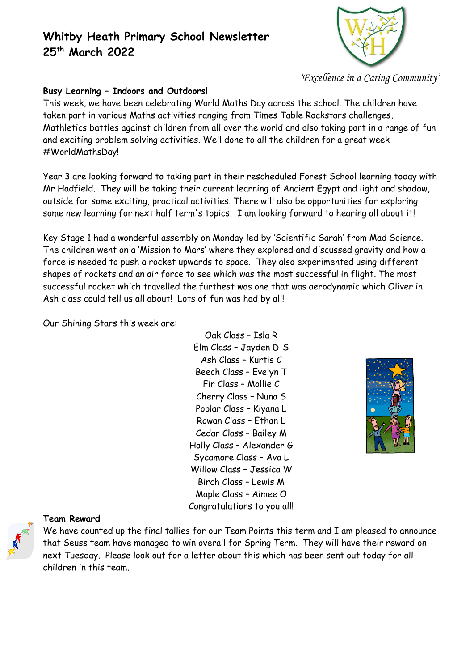

*'Excellence in a Caring Community'*

### **Busy Learning – Indoors and Outdoors!**

This week, we have been celebrating World Maths Day across the school. The children have taken part in various Maths activities ranging from Times Table Rockstars challenges, Mathletics battles against children from all over the world and also taking part in a range of fun and exciting problem solving activities. Well done to all the children for a great week #WorldMathsDay!

Year 3 are looking forward to taking part in their rescheduled Forest School learning today with Mr Hadfield. They will be taking their current learning of Ancient Egypt and light and shadow, outside for some exciting, practical activities. There will also be opportunities for exploring some new learning for next half term's topics. I am looking forward to hearing all about it!

Key Stage 1 had a wonderful assembly on Monday led by 'Scientific Sarah' from Mad Science. The children went on a 'Mission to Mars' where they explored and discussed gravity and how a force is needed to push a rocket upwards to space. They also experimented using different shapes of rockets and an air force to see which was the most successful in flight. The most successful rocket which travelled the furthest was one that was aerodynamic which Oliver in Ash class could tell us all about! Lots of fun was had by all!

Our Shining Stars this week are:

Oak Class – Isla R Elm Class – Jayden D-S Ash Class – Kurtis C Beech Class – Evelyn T Fir Class – Mollie C Cherry Class – Nuna S Poplar Class – Kiyana L Rowan Class – Ethan L Cedar Class – Bailey M Holly Class – Alexander G Sycamore Class – Ava L Willow Class – Jessica W Birch Class – Lewis M Maple Class – Aimee O Congratulations to you all!



### **Team Reward**

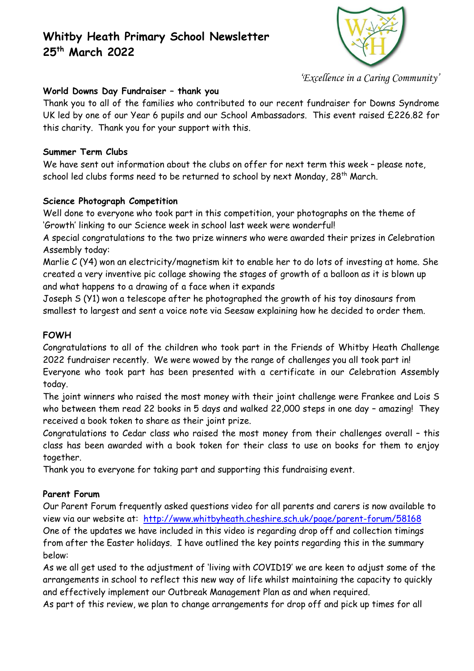

*'Excellence in a Caring Community'*

### **World Downs Day Fundraiser – thank you**

Thank you to all of the families who contributed to our recent fundraiser for Downs Syndrome UK led by one of our Year 6 pupils and our School Ambassadors. This event raised £226.82 for this charity. Thank you for your support with this.

### **Summer Term Clubs**

We have sent out information about the clubs on offer for next term this week – please note, school led clubs forms need to be returned to school by next Monday, 28<sup>th</sup> March.

### **Science Photograph Competition**

Well done to everyone who took part in this competition, your photographs on the theme of 'Growth' linking to our Science week in school last week were wonderful!

A special congratulations to the two prize winners who were awarded their prizes in Celebration Assembly today:

Marlie C (Y4) won an electricity/magnetism kit to enable her to do lots of investing at home. She created a very inventive pic collage showing the stages of growth of a balloon as it is blown up and what happens to a drawing of a face when it expands

Joseph S (Y1) won a telescope after he photographed the growth of his toy dinosaurs from smallest to largest and sent a voice note via Seesaw explaining how he decided to order them.

### **FOWH**

Congratulations to all of the children who took part in the Friends of Whitby Heath Challenge 2022 fundraiser recently. We were wowed by the range of challenges you all took part in! Everyone who took part has been presented with a certificate in our Celebration Assembly today.

The joint winners who raised the most money with their joint challenge were Frankee and Lois S who between them read 22 books in 5 days and walked 22,000 steps in one day – amazing! They received a book token to share as their joint prize.

Congratulations to Cedar class who raised the most money from their challenges overall – this class has been awarded with a book token for their class to use on books for them to enjoy together.

Thank you to everyone for taking part and supporting this fundraising event.

### **Parent Forum**

Our Parent Forum frequently asked questions video for all parents and carers is now available to view via our website at: <http://www.whitbyheath.cheshire.sch.uk/page/parent-forum/58168> One of the updates we have included in this video is regarding drop off and collection timings from after the Easter holidays. I have outlined the key points regarding this in the summary below:

As we all get used to the adjustment of 'living with COVID19' we are keen to adjust some of the arrangements in school to reflect this new way of life whilst maintaining the capacity to quickly and effectively implement our Outbreak Management Plan as and when required.

As part of this review, we plan to change arrangements for drop off and pick up times for all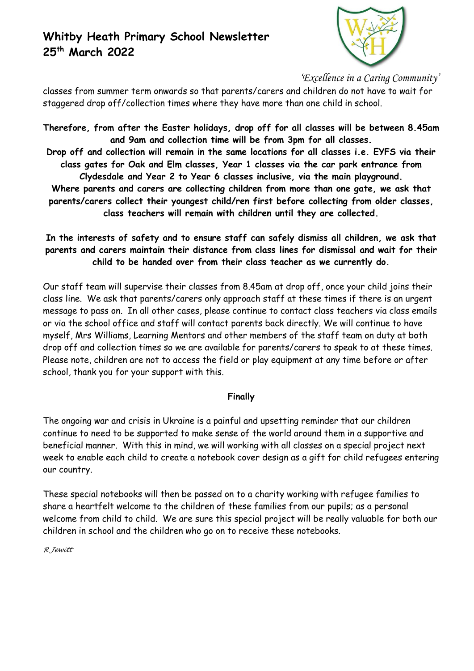

*'Excellence in a Caring Community'*

classes from summer term onwards so that parents/carers and children do not have to wait for staggered drop off/collection times where they have more than one child in school.

**Therefore, from after the Easter holidays, drop off for all classes will be between 8.45am and 9am and collection time will be from 3pm for all classes.**

**Drop off and collection will remain in the same locations for all classes i.e. EYFS via their class gates for Oak and Elm classes, Year 1 classes via the car park entrance from Clydesdale and Year 2 to Year 6 classes inclusive, via the main playground.**

**Where parents and carers are collecting children from more than one gate, we ask that parents/carers collect their youngest child/ren first before collecting from older classes, class teachers will remain with children until they are collected.**

**In the interests of safety and to ensure staff can safely dismiss all children, we ask that parents and carers maintain their distance from class lines for dismissal and wait for their child to be handed over from their class teacher as we currently do.**

Our staff team will supervise their classes from 8.45am at drop off, once your child joins their class line. We ask that parents/carers only approach staff at these times if there is an urgent message to pass on. In all other cases, please continue to contact class teachers via class emails or via the school office and staff will contact parents back directly. We will continue to have myself, Mrs Williams, Learning Mentors and other members of the staff team on duty at both drop off and collection times so we are available for parents/carers to speak to at these times. Please note, children are not to access the field or play equipment at any time before or after school, thank you for your support with this.

### **Finally**

The ongoing war and crisis in Ukraine is a painful and upsetting reminder that our children continue to need to be supported to make sense of the world around them in a supportive and beneficial manner. With this in mind, we will working with all classes on a special project next week to enable each child to create a notebook cover design as a gift for child refugees entering our country.

These special notebooks will then be passed on to a charity working with refugee families to share a heartfelt welcome to the children of these families from our pupils; as a personal welcome from child to child. We are sure this special project will be really valuable for both our children in school and the children who go on to receive these notebooks.

*R Jewitt*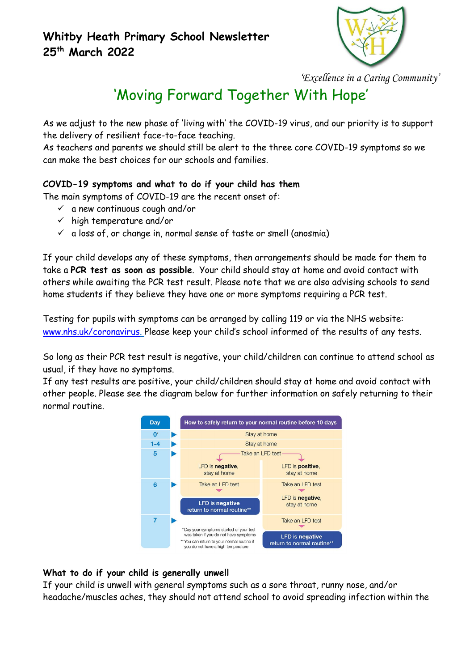

*'Excellence in a Caring Community'*

# 'Moving Forward Together With Hope'

As we adjust to the new phase of 'living with' the COVID-19 virus, and our priority is to support the delivery of resilient face-to-face teaching.

As teachers and parents we should still be alert to the three core COVID-19 symptoms so we can make the best choices for our schools and families.

## **COVID-19 symptoms and what to do if your child has them**

The main symptoms of COVID-19 are the recent onset of:

- $\checkmark$  a new continuous cough and/or
- $\checkmark$  high temperature and/or
- $\checkmark$  a loss of, or change in, normal sense of taste or smell (anosmia)

If your child develops any of these symptoms, then arrangements should be made for them to take a **PCR test as soon as possible**. Your child should stay at home and avoid contact with others while awaiting the PCR test result. Please note that we are also advising schools to send home students if they believe they have one or more symptoms requiring a PCR test.

Testing for pupils with symptoms can be arranged by calling 119 or via the NHS website: [www.nhs.uk/coronavirus.](http://www.nhs.uk/coronavirus) Please keep your child's school informed of the results of any tests.

So long as their PCR test result is negative, your child/children can continue to attend school as usual, if they have no symptoms.

If any test results are positive, your child/children should stay at home and avoid contact with other people. Please see the diagram below for further information on safely returning to their normal routine.



### **What to do if your child is generally unwell**

If your child is unwell with general symptoms such as a sore throat, runny nose, and/or headache/muscles aches, they should not attend school to avoid spreading infection within the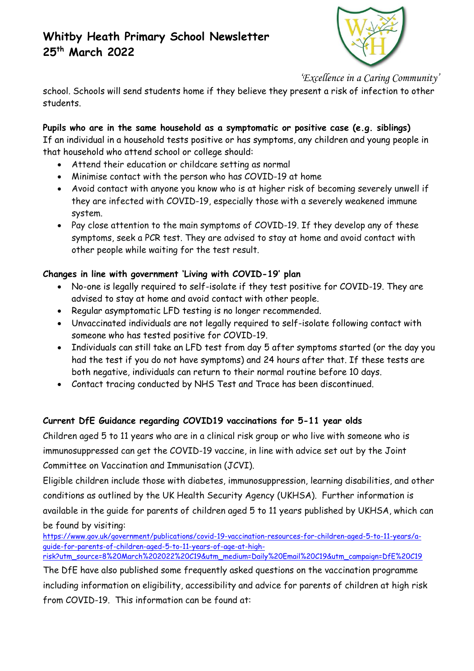

*'Excellence in a Caring Community'*

school. Schools will send students home if they believe they present a risk of infection to other students.

## **Pupils who are in the same household as a symptomatic or positive case (e.g. siblings)**

If an individual in a household tests positive or has symptoms, any children and young people in that household who attend school or college should:

- Attend their education or childcare setting as normal
- Minimise contact with the person who has COVID-19 at home
- Avoid contact with anyone you know who is at higher risk of becoming severely unwell if they are infected with COVID-19, especially those with a severely weakened immune system.
- Pay close attention to the main symptoms of COVID-19. If they develop any of these symptoms, seek a PCR test. They are advised to stay at home and avoid contact with other people while waiting for the test result.

## **Changes in line with government 'Living with COVID-19' plan**

- No-one is legally required to self-isolate if they test positive for COVID-19. They are advised to stay at home and avoid contact with other people.
- Regular asymptomatic LFD testing is no longer recommended.
- Unvaccinated individuals are not legally required to self-isolate following contact with someone who has tested positive for COVID-19.
- Individuals can still take an LFD test from day 5 after symptoms started (or the day you had the test if you do not have symptoms) and 24 hours after that. If these tests are both negative, individuals can return to their normal routine before 10 days.
- Contact tracing conducted by NHS Test and Trace has been discontinued.

## **Current DfE Guidance regarding COVID19 vaccinations for 5-11 year olds**

Children aged 5 to 11 years who are in a clinical risk group or who live with someone who is immunosuppressed can get the COVID-19 vaccine, in line with advice set out by the Joint Committee on Vaccination and Immunisation (JCVI).

Eligible children include those with diabetes, immunosuppression, learning disabilities, and other conditions as outlined by the UK Health Security Agency (UKHSA). Further information is available in the guide for parents of children aged 5 to 11 years published by UKHSA, which can be found by visiting:

[https://www.gov.uk/government/publications/covid-19-vaccination-resources-for-children-aged-5-to-11-years/a](https://www.gov.uk/government/publications/covid-19-vaccination-resources-for-children-aged-5-to-11-years/a-guide-for-parents-of-children-aged-5-to-11-years-of-age-at-high-risk?utm_source=8%20March%202022%20C19&utm_medium=Daily%20Email%20C19&utm_campaign=DfE%20C19)[guide-for-parents-of-children-aged-5-to-11-years-of-age-at-high-](https://www.gov.uk/government/publications/covid-19-vaccination-resources-for-children-aged-5-to-11-years/a-guide-for-parents-of-children-aged-5-to-11-years-of-age-at-high-risk?utm_source=8%20March%202022%20C19&utm_medium=Daily%20Email%20C19&utm_campaign=DfE%20C19)

[risk?utm\\_source=8%20March%202022%20C19&utm\\_medium=Daily%20Email%20C19&utm\\_campaign=DfE%20C19](https://www.gov.uk/government/publications/covid-19-vaccination-resources-for-children-aged-5-to-11-years/a-guide-for-parents-of-children-aged-5-to-11-years-of-age-at-high-risk?utm_source=8%20March%202022%20C19&utm_medium=Daily%20Email%20C19&utm_campaign=DfE%20C19)

The DfE have also published some frequently asked questions on the vaccination programme including information on eligibility, accessibility and advice for parents of children at high risk from COVID-19. This information can be found at: